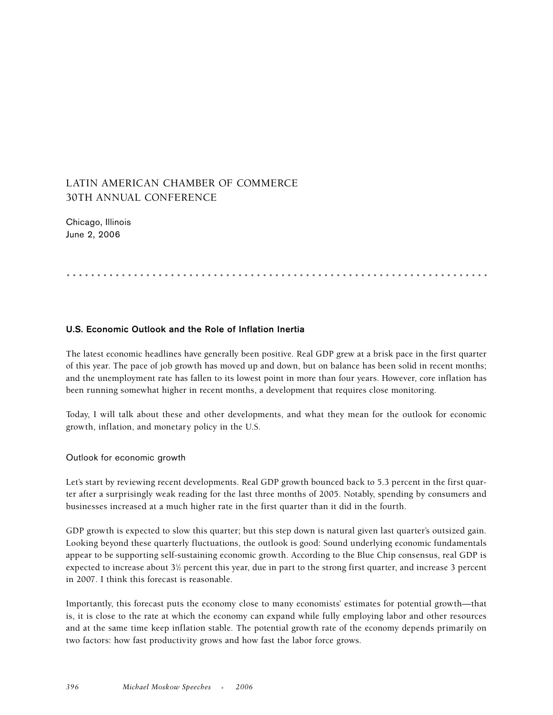# LATIN AMERICAN CHAMBER OF COMMERCE 30TH ANNUAL CONFERENCE

Chicago, Illinois June 2, 2006

.....................................................................

## **U.S. Economic Outlook and the Role of Inflation Inertia**

The latest economic headlines have generally been positive. Real GDP grew at a brisk pace in the first quarter of this year. The pace of job growth has moved up and down, but on balance has been solid in recent months; and the unemployment rate has fallen to its lowest point in more than four years. However, core inflation has been running somewhat higher in recent months, a development that requires close monitoring.

Today, I will talk about these and other developments, and what they mean for the outlook for economic growth, inflation, and monetary policy in the U.S.

Outlook for economic growth

Let's start by reviewing recent developments. Real GDP growth bounced back to 5.3 percent in the first quarter after a surprisingly weak reading for the last three months of 2005. Notably, spending by consumers and businesses increased at a much higher rate in the first quarter than it did in the fourth.

GDP growth is expected to slow this quarter; but this step down is natural given last quarter's outsized gain. Looking beyond these quarterly fluctuations, the outlook is good: Sound underlying economic fundamentals appear to be supporting self-sustaining economic growth. According to the Blue Chip consensus, real GDP is expected to increase about 3½ percent this year, due in part to the strong first quarter, and increase 3 percent in 2007. I think this forecast is reasonable.

Importantly, this forecast puts the economy close to many economists' estimates for potential growth—that is, it is close to the rate at which the economy can expand while fully employing labor and other resources and at the same time keep inflation stable. The potential growth rate of the economy depends primarily on two factors: how fast productivity grows and how fast the labor force grows.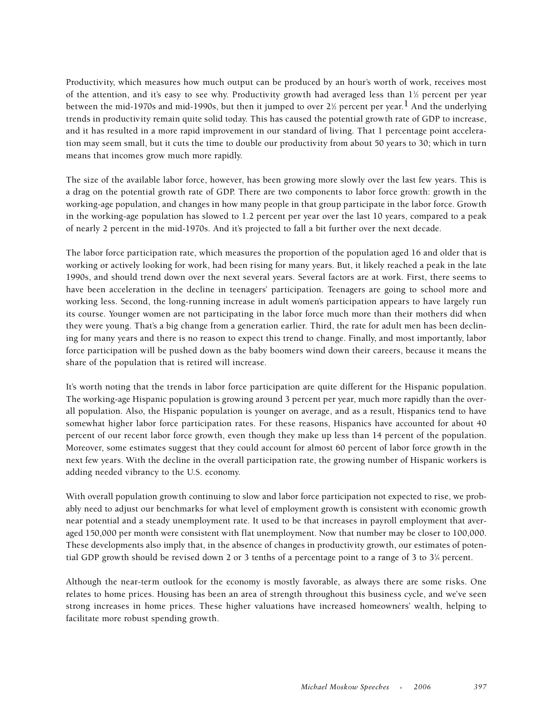Productivity, which measures how much output can be produced by an hour's worth of work, receives most of the attention, and it's easy to see why. Productivity growth had averaged less than  $1\frac{1}{2}$  percent per year between the mid-1970s and mid-1990s, but then it jumped to over 2½ percent per year.  $^1$  And the underlying trends in productivity remain quite solid today. This has caused the potential growth rate of GDP to increase, and it has resulted in a more rapid improvement in our standard of living. That 1 percentage point acceleration may seem small, but it cuts the time to double our productivity from about 50 years to 30; which in turn means that incomes grow much more rapidly.

The size of the available labor force, however, has been growing more slowly over the last few years. This is a drag on the potential growth rate of GDP. There are two components to labor force growth: growth in the working-age population, and changes in how many people in that group participate in the labor force. Growth in the working-age population has slowed to 1.2 percent per year over the last 10 years, compared to a peak of nearly 2 percent in the mid-1970s. And it's projected to fall a bit further over the next decade.

The labor force participation rate, which measures the proportion of the population aged 16 and older that is working or actively looking for work, had been rising for many years. But, it likely reached a peak in the late 1990s, and should trend down over the next several years. Several factors are at work. First, there seems to have been acceleration in the decline in teenagers' participation. Teenagers are going to school more and working less. Second, the long-running increase in adult women's participation appears to have largely run its course. Younger women are not participating in the labor force much more than their mothers did when they were young. That's a big change from a generation earlier. Third, the rate for adult men has been declining for many years and there is no reason to expect this trend to change. Finally, and most importantly, labor force participation will be pushed down as the baby boomers wind down their careers, because it means the share of the population that is retired will increase.

It's worth noting that the trends in labor force participation are quite different for the Hispanic population. The working-age Hispanic population is growing around 3 percent per year, much more rapidly than the overall population. Also, the Hispanic population is younger on average, and as a result, Hispanics tend to have somewhat higher labor force participation rates. For these reasons, Hispanics have accounted for about 40 percent of our recent labor force growth, even though they make up less than 14 percent of the population. Moreover, some estimates suggest that they could account for almost 60 percent of labor force growth in the next few years. With the decline in the overall participation rate, the growing number of Hispanic workers is adding needed vibrancy to the U.S. economy.

With overall population growth continuing to slow and labor force participation not expected to rise, we probably need to adjust our benchmarks for what level of employment growth is consistent with economic growth near potential and a steady unemployment rate. It used to be that increases in payroll employment that averaged 150,000 per month were consistent with flat unemployment. Now that number may be closer to 100,000. These developments also imply that, in the absence of changes in productivity growth, our estimates of potential GDP growth should be revised down 2 or 3 tenths of a percentage point to a range of 3 to 31 ⁄4 percent.

Although the near-term outlook for the economy is mostly favorable, as always there are some risks. One relates to home prices. Housing has been an area of strength throughout this business cycle, and we've seen strong increases in home prices. These higher valuations have increased homeowners' wealth, helping to facilitate more robust spending growth.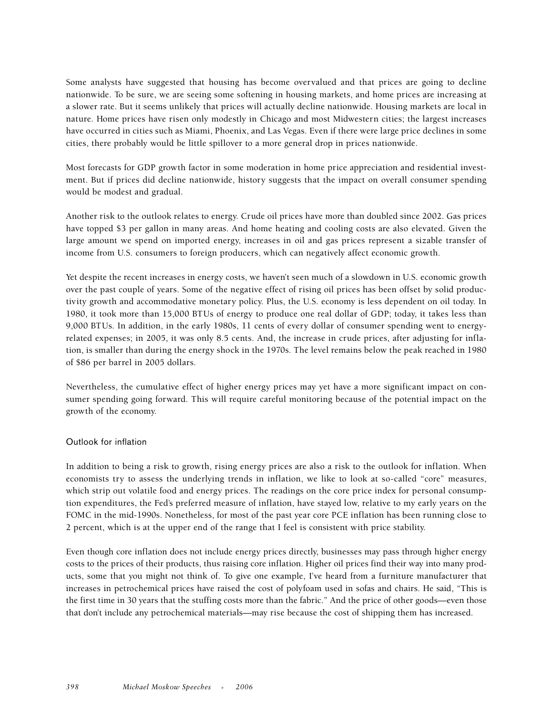Some analysts have suggested that housing has become overvalued and that prices are going to decline nationwide. To be sure, we are seeing some softening in housing markets, and home prices are increasing at a slower rate. But it seems unlikely that prices will actually decline nationwide. Housing markets are local in nature. Home prices have risen only modestly in Chicago and most Midwestern cities; the largest increases have occurred in cities such as Miami, Phoenix, and Las Vegas. Even if there were large price declines in some cities, there probably would be little spillover to a more general drop in prices nationwide.

Most forecasts for GDP growth factor in some moderation in home price appreciation and residential investment. But if prices did decline nationwide, history suggests that the impact on overall consumer spending would be modest and gradual.

Another risk to the outlook relates to energy. Crude oil prices have more than doubled since 2002. Gas prices have topped \$3 per gallon in many areas. And home heating and cooling costs are also elevated. Given the large amount we spend on imported energy, increases in oil and gas prices represent a sizable transfer of income from U.S. consumers to foreign producers, which can negatively affect economic growth.

Yet despite the recent increases in energy costs, we haven't seen much of a slowdown in U.S. economic growth over the past couple of years. Some of the negative effect of rising oil prices has been offset by solid productivity growth and accommodative monetary policy. Plus, the U.S. economy is less dependent on oil today. In 1980, it took more than 15,000 BTUs of energy to produce one real dollar of GDP; today, it takes less than 9,000 BTUs. In addition, in the early 1980s, 11 cents of every dollar of consumer spending went to energyrelated expenses; in 2005, it was only 8.5 cents. And, the increase in crude prices, after adjusting for inflation, is smaller than during the energy shock in the 1970s. The level remains below the peak reached in 1980 of \$86 per barrel in 2005 dollars.

Nevertheless, the cumulative effect of higher energy prices may yet have a more significant impact on consumer spending going forward. This will require careful monitoring because of the potential impact on the growth of the economy.

### Outlook for inflation

In addition to being a risk to growth, rising energy prices are also a risk to the outlook for inflation. When economists try to assess the underlying trends in inflation, we like to look at so-called "core" measures, which strip out volatile food and energy prices. The readings on the core price index for personal consumption expenditures, the Fed's preferred measure of inflation, have stayed low, relative to my early years on the FOMC in the mid-1990s. Nonetheless, for most of the past year core PCE inflation has been running close to 2 percent, which is at the upper end of the range that I feel is consistent with price stability.

Even though core inflation does not include energy prices directly, businesses may pass through higher energy costs to the prices of their products, thus raising core inflation. Higher oil prices find their way into many products, some that you might not think of. To give one example, I've heard from a furniture manufacturer that increases in petrochemical prices have raised the cost of polyfoam used in sofas and chairs. He said, "This is the first time in 30 years that the stuffing costs more than the fabric." And the price of other goods—even those that don't include any petrochemical materials—may rise because the cost of shipping them has increased.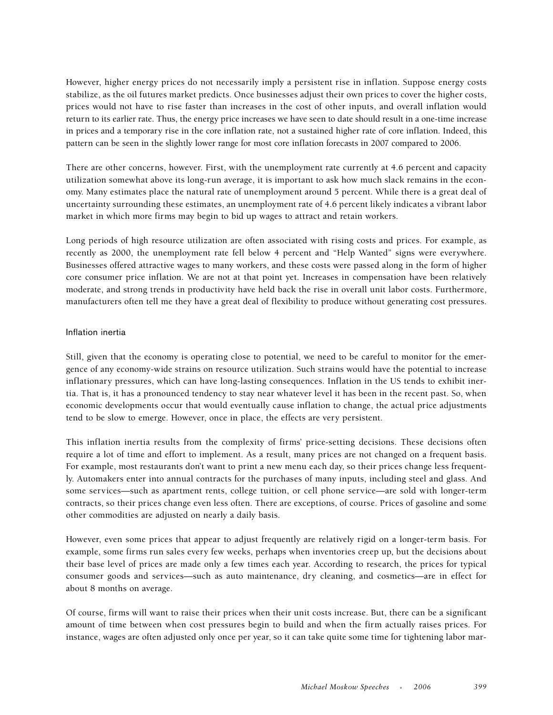However, higher energy prices do not necessarily imply a persistent rise in inflation. Suppose energy costs stabilize, as the oil futures market predicts. Once businesses adjust their own prices to cover the higher costs, prices would not have to rise faster than increases in the cost of other inputs, and overall inflation would return to its earlier rate. Thus, the energy price increases we have seen to date should result in a one-time increase in prices and a temporary rise in the core inflation rate, not a sustained higher rate of core inflation. Indeed, this pattern can be seen in the slightly lower range for most core inflation forecasts in 2007 compared to 2006.

There are other concerns, however. First, with the unemployment rate currently at 4.6 percent and capacity utilization somewhat above its long-run average, it is important to ask how much slack remains in the economy. Many estimates place the natural rate of unemployment around 5 percent. While there is a great deal of uncertainty surrounding these estimates, an unemployment rate of 4.6 percent likely indicates a vibrant labor market in which more firms may begin to bid up wages to attract and retain workers.

Long periods of high resource utilization are often associated with rising costs and prices. For example, as recently as 2000, the unemployment rate fell below 4 percent and "Help Wanted" signs were everywhere. Businesses offered attractive wages to many workers, and these costs were passed along in the form of higher core consumer price inflation. We are not at that point yet. Increases in compensation have been relatively moderate, and strong trends in productivity have held back the rise in overall unit labor costs. Furthermore, manufacturers often tell me they have a great deal of flexibility to produce without generating cost pressures.

### Inflation inertia

Still, given that the economy is operating close to potential, we need to be careful to monitor for the emergence of any economy-wide strains on resource utilization. Such strains would have the potential to increase inflationary pressures, which can have long-lasting consequences. Inflation in the US tends to exhibit inertia. That is, it has a pronounced tendency to stay near whatever level it has been in the recent past. So, when economic developments occur that would eventually cause inflation to change, the actual price adjustments tend to be slow to emerge. However, once in place, the effects are very persistent.

This inflation inertia results from the complexity of firms' price-setting decisions. These decisions often require a lot of time and effort to implement. As a result, many prices are not changed on a frequent basis. For example, most restaurants don't want to print a new menu each day, so their prices change less frequently. Automakers enter into annual contracts for the purchases of many inputs, including steel and glass. And some services—such as apartment rents, college tuition, or cell phone service—are sold with longer-term contracts, so their prices change even less often. There are exceptions, of course. Prices of gasoline and some other commodities are adjusted on nearly a daily basis.

However, even some prices that appear to adjust frequently are relatively rigid on a longer-term basis. For example, some firms run sales every few weeks, perhaps when inventories creep up, but the decisions about their base level of prices are made only a few times each year. According to research, the prices for typical consumer goods and services—such as auto maintenance, dry cleaning, and cosmetics—are in effect for about 8 months on average.

Of course, firms will want to raise their prices when their unit costs increase. But, there can be a significant amount of time between when cost pressures begin to build and when the firm actually raises prices. For instance, wages are often adjusted only once per year, so it can take quite some time for tightening labor mar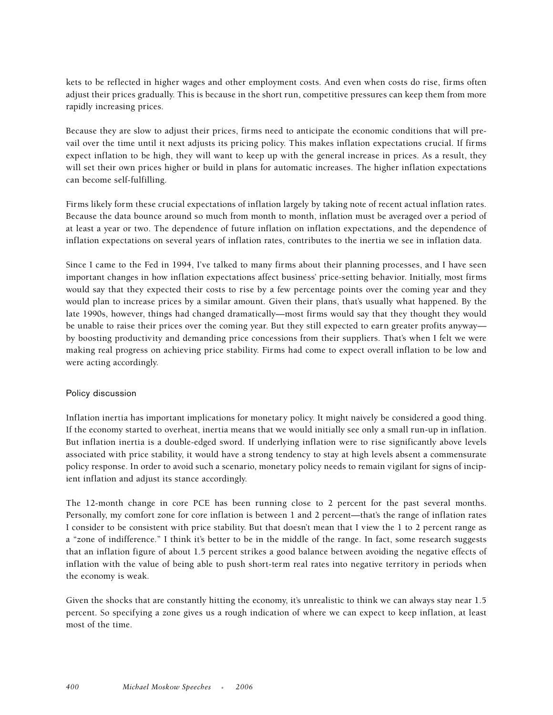kets to be reflected in higher wages and other employment costs. And even when costs do rise, firms often adjust their prices gradually. This is because in the short run, competitive pressures can keep them from more rapidly increasing prices.

Because they are slow to adjust their prices, firms need to anticipate the economic conditions that will prevail over the time until it next adjusts its pricing policy. This makes inflation expectations crucial. If firms expect inflation to be high, they will want to keep up with the general increase in prices. As a result, they will set their own prices higher or build in plans for automatic increases. The higher inflation expectations can become self-fulfilling.

Firms likely form these crucial expectations of inflation largely by taking note of recent actual inflation rates. Because the data bounce around so much from month to month, inflation must be averaged over a period of at least a year or two. The dependence of future inflation on inflation expectations, and the dependence of inflation expectations on several years of inflation rates, contributes to the inertia we see in inflation data.

Since I came to the Fed in 1994, I've talked to many firms about their planning processes, and I have seen important changes in how inflation expectations affect business' price-setting behavior. Initially, most firms would say that they expected their costs to rise by a few percentage points over the coming year and they would plan to increase prices by a similar amount. Given their plans, that's usually what happened. By the late 1990s, however, things had changed dramatically—most firms would say that they thought they would be unable to raise their prices over the coming year. But they still expected to earn greater profits anyway by boosting productivity and demanding price concessions from their suppliers. That's when I felt we were making real progress on achieving price stability. Firms had come to expect overall inflation to be low and were acting accordingly.

### Policy discussion

Inflation inertia has important implications for monetary policy. It might naively be considered a good thing. If the economy started to overheat, inertia means that we would initially see only a small run-up in inflation. But inflation inertia is a double-edged sword. If underlying inflation were to rise significantly above levels associated with price stability, it would have a strong tendency to stay at high levels absent a commensurate policy response. In order to avoid such a scenario, monetary policy needs to remain vigilant for signs of incipient inflation and adjust its stance accordingly.

The 12-month change in core PCE has been running close to 2 percent for the past several months. Personally, my comfort zone for core inflation is between 1 and 2 percent—that's the range of inflation rates I consider to be consistent with price stability. But that doesn't mean that I view the 1 to 2 percent range as a "zone of indifference." I think it's better to be in the middle of the range. In fact, some research suggests that an inflation figure of about 1.5 percent strikes a good balance between avoiding the negative effects of inflation with the value of being able to push short-term real rates into negative territory in periods when the economy is weak.

Given the shocks that are constantly hitting the economy, it's unrealistic to think we can always stay near 1.5 percent. So specifying a zone gives us a rough indication of where we can expect to keep inflation, at least most of the time.